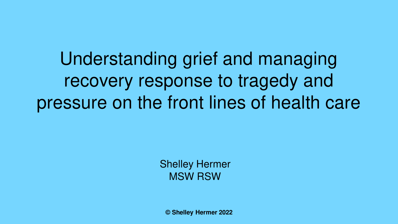Understanding grief and managing recovery response to tragedy and pressure on the front lines of health care

> Shelley Hermer MSW RSW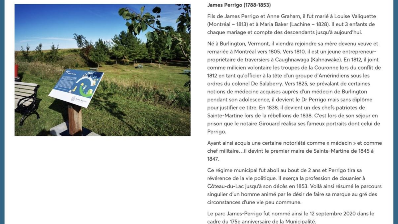



#### **James Perrigo (1788-1853)**

Fils de James Perrigo et Anne Graham, il fut marié à Louise Valiquette (Montréal - 1813) et à Maria Baker (Lachine - 1828). Il eut 3 enfants de chaque mariage et compte des descendants jusqu'à aujourd'hui.

Né à Burlington, Vermont, il viendra rejoindre sa mère devenu veuve et remariée à Montréal vers 1805. Vers 1810, il est un jeune entrepreneurpropriétaire de traversiers à Caughnawaga (Kahnawake). En 1812, il joint comme milicien volontaire les troupes de la Couronne lors du conflit de 1812 en tant qu'officier à la tête d'un groupe d'Amérindiens sous les ordres du colonel De Salaberry. Vers 1825, se prévalant de certaines notions de médecine acquises auprès d'un médecin de Burlington pendant son adolescence, il devient le Dr Perrigo mais sans diplôme pour justifier ce titre. En 1838, il devient un des chefs patriotes de Sainte-Martine lors de la rébellions de 1838. C'est lors de son séjour en prison que le notaire Girouard réalisa ses fameux portraits dont celui de Perrigo.

Ayant ainsi acquis une certaine notoriété comme « médecin » et comme chef militaire...il devint le premier maire de Sainte-Martine de 1845 à 1847.

Ce régime municipal fut aboli au bout de 2 ans et Perrigo tira sa révérence de la vie politique. Il exerça la profession de douanier à Côteau-du-Lac jusqu'à son décès en 1853. Voilà ainsi résumé le parcours singulier d'un homme animé par le désir de faire sa marque au gré des circonstances d'une vie peu commune.

Le parc James-Perrigo fut nommé ainsi le 12 septembre 2020 dans le cadre du 175e anniversaire de la Municipalité.

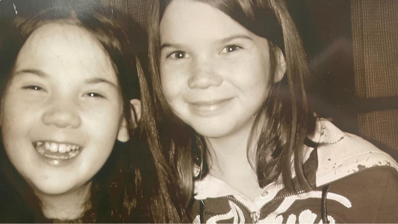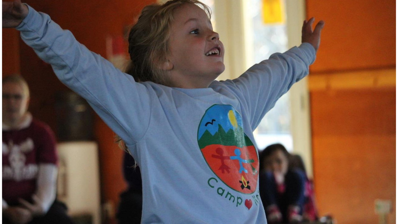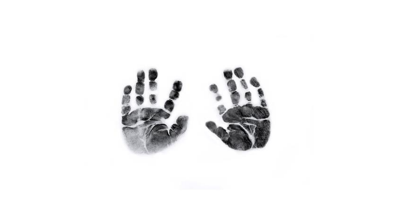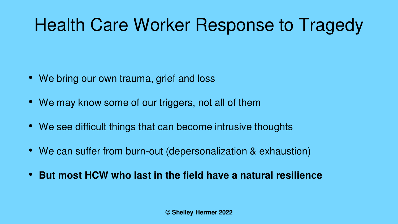#### Health Care Worker Response to Tragedy

- We bring our own trauma, grief and loss
- We may know some of our triggers, not all of them
- We see difficult things that can become intrusive thoughts
- We can suffer from burn-out (depersonalization & exhaustion)
- **But most HCW who last in the field have a natural resilience**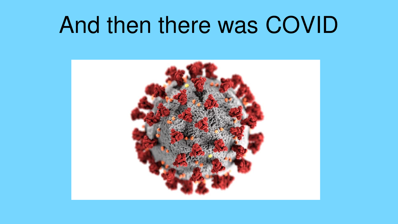## And then there was COVID

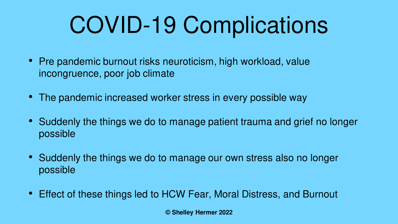# COVID-19 Complications

- Pre pandemic burnout risks neuroticism, high workload, value incongruence, poor job climate
- The pandemic increased worker stress in every possible way
- Suddenly the things we do to manage patient trauma and grief no longer possible
- Suddenly the things we do to manage our own stress also no longer possible
- Effect of these things led to HCW Fear, Moral Distress, and Burnout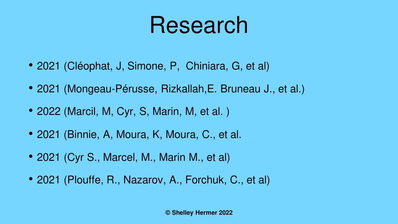## Research

- 2021 (Cléophat, J, Simone, P, Chiniara, G, et al)
- 2021 (Mongeau-Pérusse, Rizkallah,E. Bruneau J., et al.)
- 2022 (Marcil, M, Cyr, S, Marin, M, et al. )
- 2021 (Binnie, A, Moura, K, Moura, C., et al.
- 2021 (Cyr S., Marcel, M., Marin M., et al)
- 2021 (Plouffe, R., Nazarov, A., Forchuk, C., et al)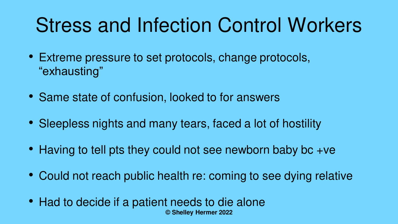### Stress and Infection Control Workers

- Extreme pressure to set protocols, change protocols, "exhausting"
- Same state of confusion, looked to for answers
- Sleepless nights and many tears, faced a lot of hostility
- Having to tell pts they could not see newborn baby bc +ve
- Could not reach public health re: coming to see dying relative
- Had to decide if a patient needs to die alone **© Shelley Hermer 2022**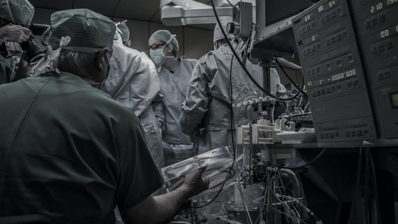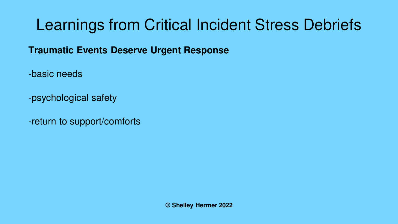#### Learnings from Critical Incident Stress Debriefs

- **Traumatic Events Deserve Urgent Response**
- -basic needs
- -psychological safety
- -return to support/comforts

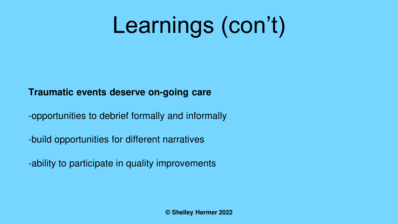## Learnings (con't)

- **Traumatic events deserve on-going care**
- -opportunities to debrief formally and informally
- -build opportunities for different narratives
- -ability to participate in quality improvements

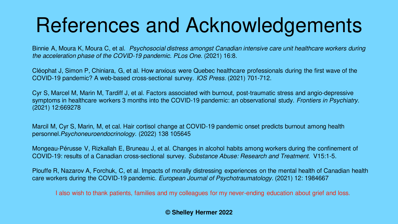### References and Acknowledgements

Binnie A, Moura K, Moura C, et al. *Psychosocial distress amongst Canadian intensive care unit healthcare workers during the acceleration phase of the COVID-19 pandemic. PLos One.* (2021) 16:8.

Cléophat J, Simon P, Chiniara, G, et al. How anxious were Quebec healthcare professionals during the first wave of the COVID-19 pandemic? A web-based cross-sectional survey. *IOS Press.* (2021) 701-712.

Cyr S, Marcel M, Marin M, Tardiff J, et al. Factors associated with burnout, post-traumatic stress and angio-depressive symptoms in healthcare workers 3 months into the COVID-19 pandemic: an observational study. *Frontiers in Psychiatry.* (2021) 12:669278

Marcil M, Cyr S, Marin, M, et cal. Hair cortisol change at COVID-19 pandemic onset predicts burnout among health personnel.*Psychoneuroendocrinology.* (2022) 138 105645

Mongeau-Pérusse V, Rizkallah E, Bruneau J, et al. Changes in alcohol habits among workers during the confinement of COVID-19: results of a Canadian cross-sectional survey. *Substance Abuse: Research and Treatment.* V15:1-5.

Plouffe R, Nazarov A, Forchuk, C, et al. Impacts of morally distressing experiences on the mental health of Canadian health care workers during the COVID-19 pandemic. *European Journal of Psychotraumatology.* (2021) 12: 1984667

I also wish to thank patients, families and my colleagues for my never-ending education about grief and loss.